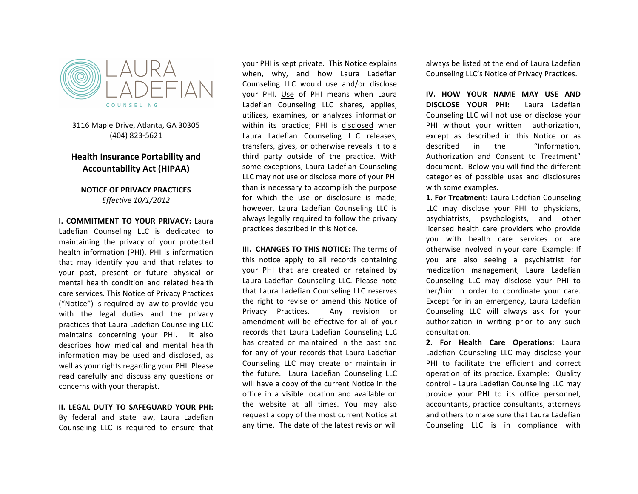

3116 Maple Drive, Atlanta, GA 30305 (404) 823-5621

## **Health Insurance Portability and Accountability Act (HIPAA)**

#### **NOTICE OF PRIVACY PRACTICES** *Effective 10/1/2012*

**I. COMMITMENT TO YOUR PRIVACY: Laura** Ladefian Counseling LLC is dedicated to maintaining the privacy of your protected health information (PHI). PHI is information that may identify you and that relates to your past, present or future physical or mental health condition and related health care services. This Notice of Privacy Practices ("Notice") is required by law to provide you with the legal duties and the privacy practices that Laura Ladefian Counseling LLC maintains concerning your PHI. It also describes how medical and mental health information may be used and disclosed, as well as your rights regarding your PHI. Please read carefully and discuss any questions or concerns with your therapist.

# **II. LEGAL DUTY TO SAFEGUARD YOUR PHI:**

By federal and state law, Laura Ladefian Counseling LLC is required to ensure that

Ladefian Counseling LLC shares, applies, DIS your PHI is kept private. This Notice explains when, why, and how Laura Ladefian Counseling LLC would use and/or disclose your PHI. Use of PHI means when Laura utilizes, examines, or analyzes information within its practice; PHI is disclosed when Laura Ladefian Counseling LLC releases, transfers, gives, or otherwise reveals it to a third party outside of the practice. With some exceptions, Laura Ladefian Counseling LLC may not use or disclose more of your PHI than is necessary to accomplish the purpose for which the use or disclosure is made: however, Laura Ladefian Counseling LLC is always legally required to follow the privacy practices described in this Notice.

> **III. CHANGES TO THIS NOTICE:** The terms of this notice apply to all records containing your PHI that are created or retained by Laura Ladefian Counseling LLC. Please note that Laura Ladefian Counseling LLC reserves the right to revise or amend this Notice of Privacy Practices. Any revision or amendment will be effective for all of your records that Laura Ladefian Counseling LLC has created or maintained in the past and for any of your records that Laura Ladefian Counseling LLC may create or maintain in the future. Laura Ladefian Counseling LLC will have a copy of the current Notice in the office in a visible location and available on the website at all times. You may also request a copy of the most current Notice at any time. The date of the latest revision will

always be listed at the end of Laura Ladefian Counseling LLC's Notice of Privacy Practices.

**IV. HOW YOUR NAME MAY USE AND DISCLOSE YOUR PHI:** Laura Ladefian Counseling LLC will not use or disclose your PHI without your written authorization, except as described in this Notice or as described in the "Information. Authorization and Consent to Treatment" document. Below you will find the different categories of possible uses and disclosures with some examples.

**1. For Treatment:** Laura Ladefian Counseling LLC may disclose your PHI to physicians, psychiatrists, psychologists, and other licensed health care providers who provide you with health care services or are otherwise involved in your care. Example: If you are also seeing a psychiatrist for medication management, Laura Ladefian Counseling LLC may disclose your PHI to her/him in order to coordinate your care. Except for in an emergency, Laura Ladefian Counseling LLC will always ask for your authorization in writing prior to any such consultation.

**2. For Health Care Operations: Laura** Ladefian Counseling LLC may disclose your PHI to facilitate the efficient and correct operation of its practice. Example: Quality control - Laura Ladefian Counseling LLC may provide your PHI to its office personnel, accountants, practice consultants, attorneys and others to make sure that Laura Ladefian Counseling LLC is in compliance with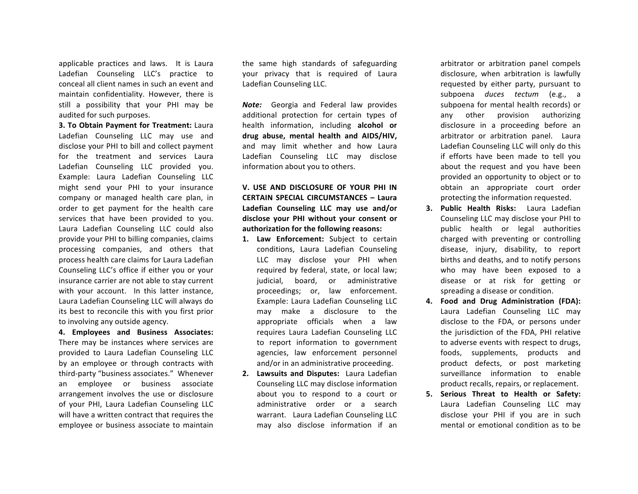applicable practices and laws. It is Laura Ladefian Counseling LLC's practice to conceal all client names in such an event and maintain confidentiality. However, there is still a possibility that your PHI may be audited for such purposes.

**3. To Obtain Payment for Treatment: Laura** Ladefian Counseling LLC may use and disclose your PHI to bill and collect payment for the treatment and services Laura Ladefian Counseling LLC provided you. Example: Laura Ladefian Counseling LLC might send your PHI to your insurance company or managed health care plan, in order to get payment for the health care services that have been provided to you. Laura Ladefian Counseling LLC could also provide your PHI to billing companies, claims processing companies, and others that process health care claims for Laura Ladefian Counseling LLC's office if either you or your insurance carrier are not able to stay current with your account. In this latter instance, Laura Ladefian Counseling LLC will always do its best to reconcile this with you first prior to involving any outside agency.

**4. Employees and Business Associates:**  There may be instances where services are provided to Laura Ladefian Counseling LLC by an employee or through contracts with third-party "business associates." Whenever an employee or business associate arrangement involves the use or disclosure of your PHI, Laura Ladefian Counseling LLC will have a written contract that requires the employee or business associate to maintain

the same high standards of safeguarding your privacy that is required of Laura Ladefian Counseling LLC.

**Note:** Georgia and Federal law provides additional protection for certain types of health information, including alcohol or **drug abuse, mental health and AIDS/HIV,** and may limit whether and how Laura Ladefian Counseling LLC may disclose information about you to others.

### **V. USE AND DISCLOSURE OF YOUR PHI IN CERTAIN SPECIAL CIRCUMSTANCES – Laura Ladefian Counseling LLC may use and/or**  disclose your PHI without your consent or authorization for the following reasons:

- 1. Law Enforcement: Subject to certain conditions, Laura Ladefian Counseling LLC may disclose your PHI when required by federal, state, or local law; judicial, board, or administrative proceedings; or, law enforcement. Example: Laura Ladefian Counseling LLC may make a disclosure to the appropriate officials when a law requires Laura Ladefian Counseling LLC to report information to government agencies, law enforcement personnel and/or in an administrative proceeding.
- **2.** Lawsuits and Disputes: Laura Ladefian Counseling LLC may disclose information about you to respond to a court or administrative order or a search warrant. Laura Ladefian Counseling LLC may also disclose information if an

arbitrator or arbitration panel compels disclosure, when arbitration is lawfully requested by either party, pursuant to subpoena *duces* tectum (e.g., a subpoena for mental health records) or any other provision authorizing disclosure in a proceeding before an arbitrator or arbitration panel. Laura Ladefian Counseling LLC will only do this if efforts have been made to tell you about the request and you have been provided an opportunity to object or to obtain an appropriate court order protecting the information requested.

- **3. Public Health Risks:** Laura Ladefian Counseling LLC may disclose your PHI to public health or legal authorities charged with preventing or controlling disease, injury, disability, to report births and deaths, and to notify persons who may have been exposed to a disease or at risk for getting or spreading a disease or condition.
- **4. Food and Drug Administration (FDA):** Laura Ladefian Counseling LLC may disclose to the FDA, or persons under the jurisdiction of the FDA, PHI relative to adverse events with respect to drugs, foods, supplements, products and product defects, or post marketing surveillance information to enable product recalls, repairs, or replacement.
- **5. Serious Threat to Health or Safety:** Laura Ladefian Counseling LLC may disclose your PHI if you are in such mental or emotional condition as to be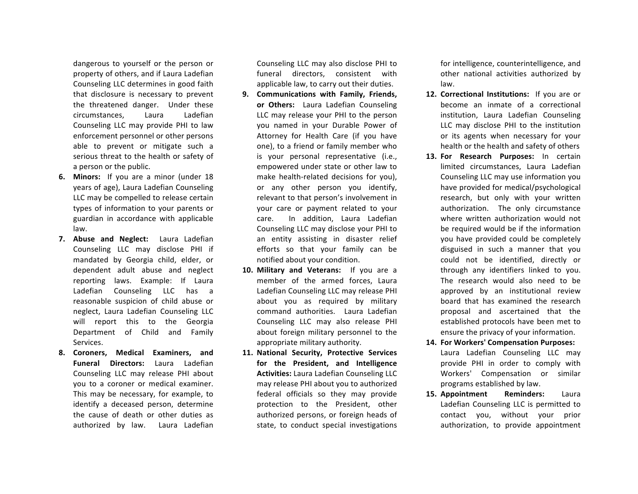dangerous to yourself or the person or property of others, and if Laura Ladefian Counseling LLC determines in good faith that disclosure is necessary to prevent the threatened danger. Under these circumstances, Laura Ladefian Counseling LLC may provide PHI to law enforcement personnel or other persons able to prevent or mitigate such a serious threat to the health or safety of a person or the public.

- **6.** Minors: If you are a minor (under 18 years of age), Laura Ladefian Counseling LLC may be compelled to release certain types of information to your parents or guardian in accordance with applicable law.
- **7.** Abuse and Neglect: Laura Ladefian Counseling LLC may disclose PHI if mandated by Georgia child, elder, or dependent adult abuse and neglect reporting laws. Example: If Laura Ladefian Counseling LLC has a reasonable suspicion of child abuse or neglect, Laura Ladefian Counseling LLC will report this to the Georgia Department of Child and Family Services.
- **8. Coroners, Medical Examiners, and Funeral Directors:** Laura Ladefian Counseling LLC may release PHI about you to a coroner or medical examiner. This may be necessary, for example, to identify a deceased person, determine the cause of death or other duties as authorized by law. Laura Ladefian

Counseling LLC may also disclose PHI to funeral directors, consistent with applicable law, to carry out their duties.

- 9. **Communications with Family, Friends,** or Others: Laura Ladefian Counseling LLC may release your PHI to the person you named in your Durable Power of Attorney for Health Care (if you have one), to a friend or family member who is your personal representative (i.e., empowered under state or other law to make health-related decisions for you). or any other person you identify, relevant to that person's involvement in your care or payment related to your care. In addition, Laura Ladefian Counseling LLC may disclose your PHI to an entity assisting in disaster relief efforts so that your family can be notified about your condition.
- 10. Military and Veterans: If you are a member of the armed forces, Laura Ladefian Counseling LLC may release PHI about you as required by military command authorities. Laura Ladefian Counseling LLC may also release PHI about foreign military personnel to the appropriate military authority.
- 11. National Security, Protective Services for the President, and Intelligence **Activities:** Laura Ladefian Counseling LLC may release PHI about you to authorized federal officials so they may provide protection to the President, other authorized persons, or foreign heads of state, to conduct special investigations

for intelligence, counterintelligence, and other national activities authorized by law.

- **12. Correctional Institutions:** If you are or become an inmate of a correctional institution, Laura Ladefian Counseling LLC may disclose PHI to the institution or its agents when necessary for your health or the health and safety of others
- 13. For Research Purposes: In certain limited circumstances, Laura Ladefian Counseling LLC may use information you have provided for medical/psychological research, but only with your written authorization. The only circumstance where written authorization would not be required would be if the information you have provided could be completely disguised in such a manner that you could not be identified, directly or through any identifiers linked to you. The research would also need to be approved by an institutional review board that has examined the research proposal and ascertained that the established protocols have been met to ensure the privacy of your information.
- **14. For Workers' Compensation Purposes:** Laura Ladefian Counseling LLC may provide PHI in order to comply with Workers' Compensation or similar programs established by law.
- 15. **Appointment Reminders:** Laura Ladefian Counseling LLC is permitted to contact you, without your prior authorization, to provide appointment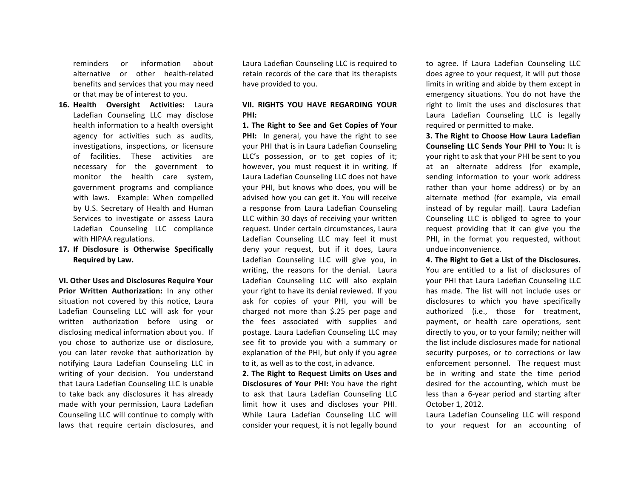reminders or information about alternative or other health-related benefits and services that you may need or that may be of interest to you.

- 16. **Health Oversight Activities:** Laura Ladefian Counseling LLC may disclose health information to a health oversight agency for activities such as audits, investigations, inspections, or licensure of facilities. These activities are necessary for the government to monitor the health care system, government programs and compliance with laws. Example: When compelled by U.S. Secretary of Health and Human Services to investigate or assess Laura Ladefian Counseling LLC compliance with HIPAA regulations.
- 17. If Disclosure is Otherwise Specifically **Required by Law.**

**VI. Other Uses and Disclosures Require Your Prior Written Authorization:** In any other situation not covered by this notice, Laura Ladefian Counseling LLC will ask for your written authorization before using or disclosing medical information about you. If you chose to authorize use or disclosure, you can later revoke that authorization by notifying Laura Ladefian Counseling LLC in writing of your decision. You understand that Laura Ladefian Counseling LLC is unable to take back any disclosures it has already made with your permission, Laura Ladefian Counseling LLC will continue to comply with laws that require certain disclosures, and

Laura Ladefian Counseling LLC is required to retain records of the care that its therapists have provided to you.

#### **VII. RIGHTS YOU HAVE REGARDING YOUR PHI:**

1. The Right to See and Get Copies of Your **PHI:** In general, you have the right to see vour PHI that is in Laura Ladefian Counseling LLC's possession, or to get copies of it; however, you must request it in writing. If Laura Ladefian Counseling LLC does not have your PHI, but knows who does, you will be advised how you can get it. You will receive a response from Laura Ladefian Counseling LLC within 30 days of receiving your written request. Under certain circumstances, Laura Ladefian Counseling LLC may feel it must deny your request, but if it does, Laura Ladefian Counseling LLC will give you, in writing, the reasons for the denial. Laura Ladefian Counseling LLC will also explain your right to have its denial reviewed. If you ask for copies of your PHI, you will be charged not more than \$.25 per page and the fees associated with supplies and postage. Laura Ladefian Counseling LLC may see fit to provide you with a summary or explanation of the PHI, but only if you agree to it, as well as to the cost, in advance.

**2. The Right to Request Limits on Uses and Disclosures of Your PHI:** You have the right to ask that Laura Ladefian Counseling LLC limit how it uses and discloses your PHI. While Laura Ladefian Counseling LLC will consider your request, it is not legally bound to agree. If Laura Ladefian Counseling LLC does agree to your request, it will put those limits in writing and abide by them except in emergency situations. You do not have the right to limit the uses and disclosures that Laura Ladefian Counseling LLC is legally required or permitted to make.

**3.** The Right to Choose How Laura Ladefian **Counseling LLC Sends Your PHI to You:** It is your right to ask that your PHI be sent to you at an alternate address (for example, sending information to your work address rather than your home address) or by an alternate method (for example, via email instead of by regular mail). Laura Ladefian Counseling LLC is obliged to agree to your request providing that it can give you the PHI, in the format you requested, without undue inconvenience.

**4. The Right to Get a List of the Disclosures.** You are entitled to a list of disclosures of your PHI that Laura Ladefian Counseling LLC has made. The list will not include uses or disclosures to which you have specifically authorized (i.e., those for treatment, payment, or health care operations, sent directly to you, or to your family; neither will the list include disclosures made for national security purposes, or to corrections or law enforcement personnel. The request must be in writing and state the time period desired for the accounting, which must be less than a 6-year period and starting after October 1, 2012.

Laura Ladefian Counseling LLC will respond to your request for an accounting of